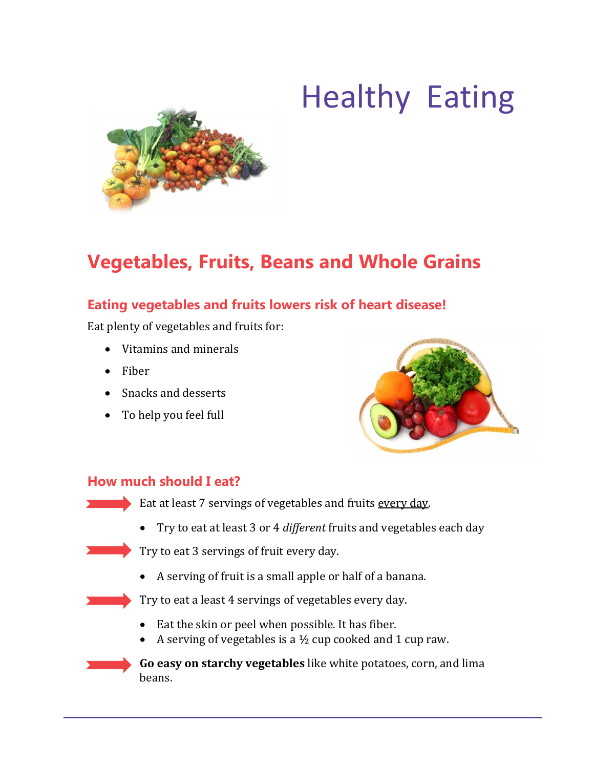# Healthy Eating



# **Vegetables, Fruits, Beans and Whole Grains**

# **Eating vegetables and fruits lowers risk of heart disease!**

Eat plenty of vegetables and fruits for:

- Vitamins and minerals
- Fiber
- Snacks and desserts
- To help you feel full



#### **How much should I eat?**

Eat at least 7 servings of vegetables and fruits every day.

Try to eat at least 3 or 4 *different* fruits and vegetables each day

Try to eat 3 servings of fruit every day.

A serving of fruit is a small apple or half of a banana.

Try to eat a least 4 servings of vegetables every day.

- Eat the skin or peel when possible. It has fiber.
- A serving of vegetables is a  $\frac{1}{2}$  cup cooked and 1 cup raw.

**Go easy on starchy vegetables** like white potatoes, corn, and lima beans.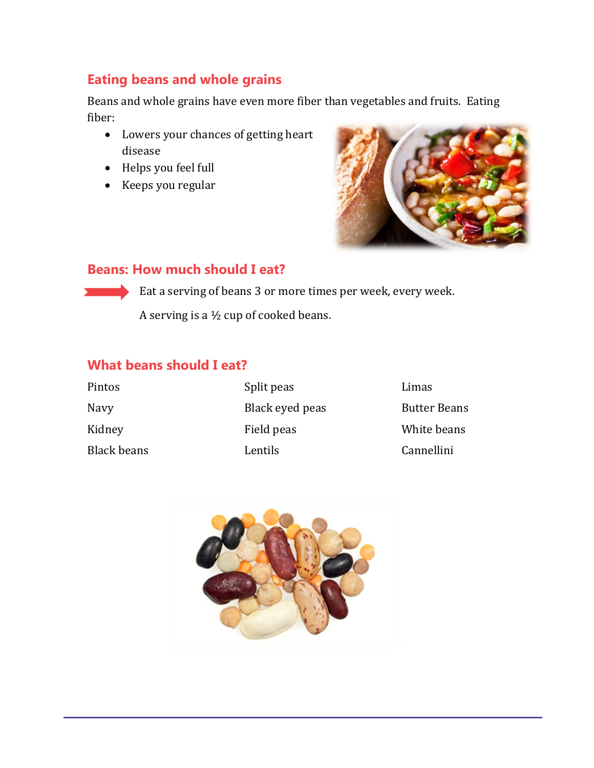# **Eating beans and whole grains**

Beans and whole grains have even more fiber than vegetables and fruits. Eating fiber:

- Lowers your chances of getting heart disease
- Helps you feel full
- Keeps you regular



## **Beans: How much should I eat?**

Eat a serving of beans 3 or more times per week, every week.

A serving is a ½ cup of cooked beans.

# **What beans should I eat?**

| Pintos      | Split peas      | Limas               |
|-------------|-----------------|---------------------|
| Navy        | Black eyed peas | <b>Butter Beans</b> |
| Kidney      | Field peas      | White beans         |
| Black beans | Lentils         | Cannellini          |

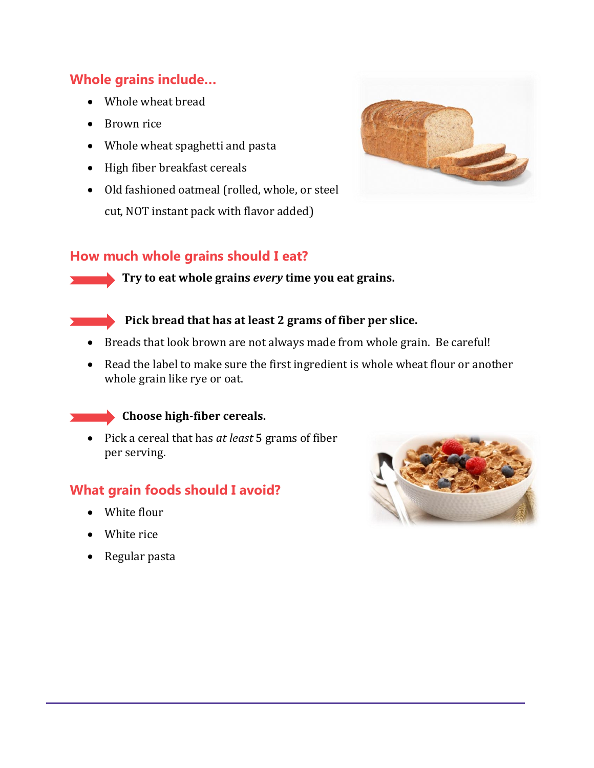# **Whole grains include…**

- Whole wheat bread
- Brown rice
- Whole wheat spaghetti and pasta
- High fiber breakfast cereals
- Old fashioned oatmeal (rolled, whole, or steel cut, NOT instant pack with flavor added)



#### **How much whole grains should I eat?**

**Try to eat whole grains** *every* **time you eat grains.** 

#### **Pick bread that has at least 2 grams of fiber per slice.**

- Breads that look brown are not always made from whole grain. Be careful!
- Read the label to make sure the first ingredient is whole wheat flour or another whole grain like rye or oat.

#### **Choose high-fiber cereals.**

 Pick a cereal that has *at least* 5 grams of fiber per serving.

## **What grain foods should I avoid?**

- White flour
- White rice
- Regular pasta

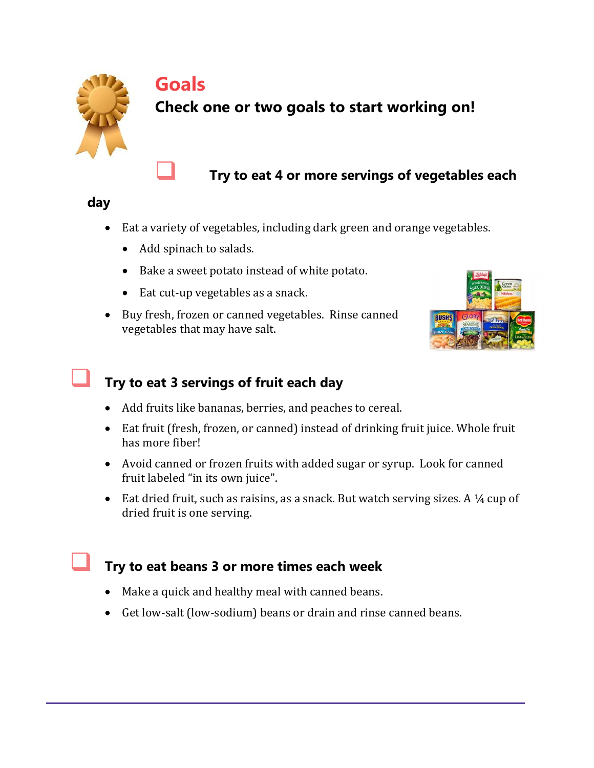

# **Goals**

# **Check one or two goals to start working on!**

**Try to eat 4 or more servings of vegetables each** 

#### **day**

- Eat a variety of vegetables, including dark green and orange vegetables.
	- Add spinach to salads.
	- Bake a sweet potato instead of white potato.
	- Eat cut-up vegetables as a snack.
- Buy fresh, frozen or canned vegetables. Rinse canned vegetables that may have salt.



# **Try to eat 3 servings of fruit each day**

- Add fruits like bananas, berries, and peaches to cereal.
- Eat fruit (fresh, frozen, or canned) instead of drinking fruit juice. Whole fruit has more fiber!
- Avoid canned or frozen fruits with added sugar or syrup. Look for canned fruit labeled "in its own juice".
- Eat dried fruit, such as raisins, as a snack. But watch serving sizes. A  $\frac{1}{4}$  cup of dried fruit is one serving.

# **Try to eat beans 3 or more times each week**

- Make a quick and healthy meal with canned beans.
- Get low-salt (low-sodium) beans or drain and rinse canned beans.